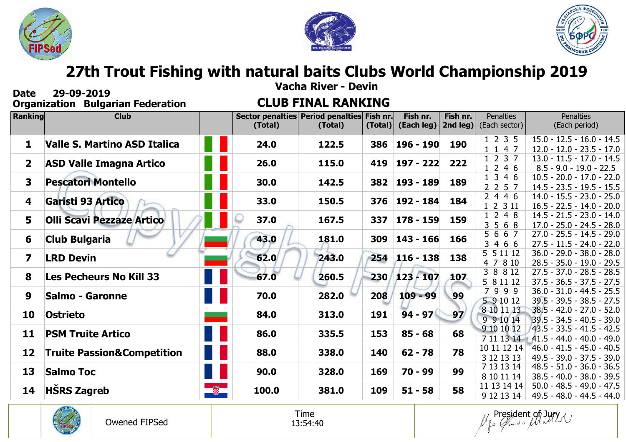





# **27th Trout Fishing with natural baits Clubs World Championship 2019**

| <b>Vacha River - Devin</b><br>29-09-2019<br><b>Date</b> |                                          |         |         |                                                       |         |                        |                                             |                                   |                                                                       |  |  |
|---------------------------------------------------------|------------------------------------------|---------|---------|-------------------------------------------------------|---------|------------------------|---------------------------------------------|-----------------------------------|-----------------------------------------------------------------------|--|--|
|                                                         | <b>Organization Bulgarian Federation</b> |         |         | <b>CLUB FINAL RANKING</b>                             |         |                        |                                             |                                   |                                                                       |  |  |
| Ranking                                                 | <b>Club</b>                              |         | (Total) | Sector penalties Period penalties Fish nr.<br>(Total) | (Total) | Fish nr.<br>(Each leg) | Fish nr.<br>2nd $\left  \text{leg} \right $ | <b>Penalties</b><br>(Each sector) | <b>Penalties</b><br>(Each period)                                     |  |  |
| 1                                                       | Valle S. Martino ASD Italica             |         | 24.0    | 122.5                                                 | 386     | 196 - 190              | 190                                         | 1 2 3 5<br>1 1 4 7                | $15.0 - 12.5 - 16.0 - 14.5$<br>$12.0 - 12.0 - 23.5 - 17.0$            |  |  |
| $\mathbf{2}$                                            | <b>ASD Valle Imagna Artico</b>           |         | 26.0    | 115.0                                                 | 419     | 197 - 222              | 222                                         | 1 2 3 7<br>1246                   | $13.0 - 11.5 - 17.0 - 14.5$<br>$8.5 - 9.0 - 19.0 - 22.5$              |  |  |
| $\overline{\mathbf{3}}$                                 | <b>Pescatori Montello</b>                |         | 30.0    | 142.5                                                 | 382     | 193 - 189              | 189                                         | 1 3 4 6<br>2 2 5 7                | $10.5 - 20.0 - 17.0 - 22.0$<br>$14.5 - 23.5 - 19.5 - 15.5$            |  |  |
| 4                                                       | Garisti 93 Artico                        |         | 33.0    | 150.5                                                 | 376     | $192 - 184$            | 184                                         | 2446<br>1 2 3 11                  | $14.0 - 15.5 - 23.0 - 25.0$<br>$16.5 - 22.5 - 14.0 - 20.0$            |  |  |
| 5                                                       | <b>Olli Scavi Pezzaze Artico</b>         |         | 37.0    | 167.5                                                 | 337     | 178 - 159              | 159                                         | 1 2 4 8<br>3 5 6 8                | $14.5 - 21.5 - 23.0 - 14.0$<br>$17.0 - 25.0 - 24.5 - 28.0$            |  |  |
| 6                                                       | <b>Club Bulgaria</b>                     |         | 43.0    | 181.0                                                 | 309     | $143 - 166$            | 166                                         | 5 6 6 7<br>3 4 6 6                | $27.0 - 25.5 - 14.5 - 29.0$<br>$27.5 - 11.5 - 24.0 - 22.0$            |  |  |
| $\overline{\mathbf{z}}$                                 | <b>LRD Devin</b>                         |         | 62.0    | 243.0                                                 | 254     | $116 - 138$            | 138                                         | 5 5 11 12<br>4 7 8 10             | $36.0 - 29.0 - 38.0 - 28.0$<br>$28.5 - 35.0 - 19.0 - 29.5$            |  |  |
| 8                                                       | <b>Les Pecheurs No Kill 33</b>           |         | 67.0    | 260.5                                                 | 230/    | $123 - 107$            | 107                                         | 3 8 8 12<br>5 8 11 12             | $27.5 - 37.0 - 28.5 - 28.5$<br>$37.5 - 36.5 - 37.5 - 27.5$            |  |  |
| 9                                                       | <b>Salmo - Garonne</b>                   |         | 70.0    | 282.0                                                 | 208     | $109 - 99$             | 99                                          | 7999<br>5 9 10 12                 | $36.0 - 31.0 - 44.5 - 25.5$<br>$39.5 - 39.5 - 38.5 - 27.5$            |  |  |
| 10                                                      | <b>Ostrieto</b>                          |         | 84.0    | 313.0                                                 | 191     | $94 - 97$              | 97'                                         | 8 10 11 13<br>9 9 10 14           | $38.5 - 42.0 - 27.0 - 52.0$<br>$39.5 - 34.5 - 40.5 - 39.0$            |  |  |
| 11                                                      | <b>PSM Truite Artico</b>                 |         | 86.0    | 335.5                                                 | 153     | $85 - 68$              | 68                                          | 9 10 10 12                        | $/43.5 - 33.5 - 41.5 - 42.5$<br>$7111314$ $41.5 - 44.0 - 40.0 - 49.0$ |  |  |
| 12                                                      | <b>Truite Passion&amp;Competition</b>    |         | 88.0    | 338.0                                                 | 140     | $62 - 78$              | 78                                          | 10 11 12 14<br>3 12 13 13         | $46.0 - 41.5 - 45.0 - 40.5$<br>$49.5 - 39.0 - 37.5 - 39.0$            |  |  |
| 13                                                      | <b>Salmo Toc</b>                         |         | 90.0    | 328.0                                                 | 169     | 70 - 99                | 99                                          | 7 13 13 14<br>8 10 11 14          | $48.5 - 51.0 - 36.0 - 36.5$<br>$38.5 - 40.0 - 38.0 - 39.5$            |  |  |
| 14                                                      | <b>HŠRS Zagreb</b>                       | $\circ$ | 100.0   | 381.0                                                 | 109     | $51 - 58$              | 58                                          | 11 13 14 14<br>9 12 13 14         | $50.0 - 48.5 - 49.0 - 47.5$<br>49.5 - 48.0 - 44.5 - 44.0              |  |  |



Time 13:54:40 *Use Claries* Matty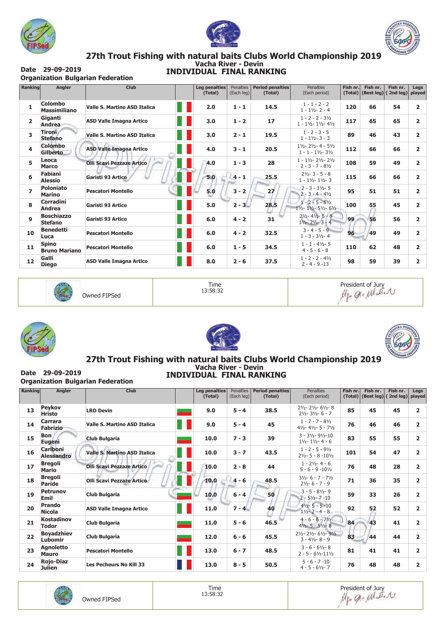





## 27th Trout Fishing with natural baits Clubs World Championship 2019<br>Vacha River - Devin **INDIVIDUAL FINAL RANKING**

Date 29-09-2019 **Organization Bulgarian Federation** 

| <b>Ranking</b> | Angler                               | <b>Club</b>                         | <b>Leg penalties</b><br>(Total) | Penalties<br>(Each leg) | <b>Period penalties</b><br>(Total) | <b>Penalties</b><br>(Each period)                                                         | Fish nr. | Fish nr.<br>$(Total)$ (Best leg) | Fish nr.<br>(2nd leg) | Legs<br>played |
|----------------|--------------------------------------|-------------------------------------|---------------------------------|-------------------------|------------------------------------|-------------------------------------------------------------------------------------------|----------|----------------------------------|-----------------------|----------------|
| 1              | Colombo<br><b>Massimiliano</b>       | <b>Valle S. Martino ASD Italica</b> | 2.0                             | $1 - 1$                 | 14.5                               | $1 - 1 - 2 - 2$<br>$1 - 1\frac{1}{2} - 2 - 4$                                             | 120      | 66                               | 54                    | $\overline{2}$ |
| $\overline{2}$ | Giganti<br>Andrea                    | <b>ASD Valle Imagna Artico</b>      | 3.0                             | $1 - 2$                 | 17                                 | $1 - 2 - 2 - 3\frac{1}{2}$<br>$1 - 1\frac{1}{2} - 1\frac{1}{2} - 4\frac{1}{2}$            | 117      | 65                               | 65                    | $\overline{2}$ |
| 3              | Tironi<br><b>Stefano</b>             | <b>Valle S. Martino ASD Italica</b> | 3.0                             | $2 - 1$                 | 19.5                               | $1 - 2 - 3 - 5$<br>$1 - 1\frac{1}{2} - 3 - 3$                                             | 89       | 46                               | 43                    | $\overline{2}$ |
| 4              | <b>Colombo</b><br>Gilberto.          | <b>ASD Valle Imagna Artico</b>      | 4.0                             | $3 - 1$                 | 20.5                               | $1\frac{1}{2} - 2\frac{1}{2} - 4 - 5\frac{1}{2}$<br>$1 - 1 - 1\frac{1}{2} - 3\frac{1}{2}$ | 112      | 66                               | 66                    | $\overline{2}$ |
| 5              | Leoca<br><b>Marco</b>                | <b>Olli Scavi Pezzaze Artico</b>    | 4.0                             | $1 - 3$                 | 28                                 | $1 - 1\frac{1}{2} - 2\frac{1}{2} - 2\frac{1}{2}$<br>$2 - 3 - 7 - 8\frac{1}{2}$            | 108      | 59                               | 49                    | $\overline{2}$ |
| 6              | Fabiani<br><b>Alessio</b>            | Garisti 93 Artico                   | 5.0                             | $4 - 1$                 | 25.5                               | $2\frac{1}{2}$ - 3 - 5 - 8<br>$1 - 1\frac{1}{2} - 1\frac{1}{2} - 3$                       | 115      | 66                               | 66                    | 2              |
| $\overline{ }$ | <b>Poloniato</b><br><b>Marino</b>    | <b>Pescatori Montello</b>           | 5.0                             | $3 - 2$                 | 27                                 | $2 - 3 - 31/2 - 5$<br>$2 - 3 - 4 - 4\frac{1}{2}$                                          | 95       | 51                               | 51                    | 2              |
| 8              | Corradini<br>Andrea                  | Garisti 93 Artico                   | 5.0                             | $2 - 3$                 | 28.5                               | $1 - 2 - 5 - 5\frac{1}{2}$<br>$1\frac{1}{2} - 1\frac{1}{2} - 5\frac{1}{2} - 6\frac{1}{2}$ | 100      | 55                               | 45                    | 2              |
| 9              | <b>Boschiazzo</b><br><b>Stefano</b>  | Garisti 93 Artico                   | 6.0                             | $4 - 2$                 | 31                                 | $2\frac{1}{2}$ - 4 $\frac{1}{2}$ - 5 - 8<br>$1\frac{1}{2}$ - 2 $\frac{1}{2}$ - 3 - 4      | 99       | 56                               | 56                    | $\overline{2}$ |
| 10             | <b>Benedetti</b><br>Luca             | <b>Pescatori Montello</b>           | 6.0                             | $4 - 2$                 | 32.5                               | $3 - 4 - 5 - 9$<br>$1 - 3 - 3\frac{1}{2} - 4$                                             | 96       | 49                               | 49                    | $\overline{2}$ |
| 11             | <b>Spino</b><br><b>Bruno Mariano</b> | <b>Pescatori Montello</b>           | 6.0                             | $1 - 5$                 | 34.5                               | $1 - 1 - 4\frac{1}{2} - 5$<br>$4 - 5 - 6 - 8$                                             | 110      | 62                               | 48                    | $\overline{2}$ |
| 12             | Galli<br><b>Diego</b>                | <b>ASD Valle Imagna Artico</b>      | 8.0                             | $2 - 6$                 | 37.5                               | $1 - 2 - 2 - 4\frac{1}{2}$<br>$2 - 4 - 9 - 13$                                            | 98       | 59                               | 39                    | 2              |

Owned FIPSed

Time 13:58:32









## 27th Trout Fishing with natural baits Clubs World Championship 2019 **INDIVIDUAL FINAL RANKING**

Date 29-09-2019 **Organization Bulgarian Federation** 

| <b>Ranking</b> | <b>Angler</b>                        | <b>Club</b>                         | <b>Leg penalties</b><br>(Total) | Penalties<br>(Each leg) | <b>Period penalties</b><br>(Total) | <b>Penalties</b><br>(Each period)                                                                  | Fish nr.<br>(Total) | Fish nr.<br>(Best leg) | Fish nr.<br>(2nd leg) | Legs<br>played |
|----------------|--------------------------------------|-------------------------------------|---------------------------------|-------------------------|------------------------------------|----------------------------------------------------------------------------------------------------|---------------------|------------------------|-----------------------|----------------|
| 13             | <b>Peykov</b><br><b>Hristo</b>       | <b>LRD Devin</b>                    | 9.0                             | $5 - 4$                 | 38.5                               | $2\frac{1}{2}$ - 2 $\frac{1}{2}$ - 6 $\frac{1}{2}$ - 8<br>$2\frac{1}{2} - 3\frac{1}{2} - 6 - 7$    | 85                  | 45                     | 45                    | $\overline{2}$ |
| 14             | Carrara<br><b>Fabrizio</b>           | <b>Valle S. Martino ASD Italica</b> | 9.0                             | $5 - 4$                 | 45                                 | $1 - 7 - 7 - 8\frac{1}{2}$<br>$4\frac{1}{2} - 4\frac{1}{2} - 5 - \frac{7\frac{1}{2}}{2}$           | 76                  | 46                     | 46                    | $\overline{2}$ |
| 15             | <b>Bon</b><br>Eugeni                 | <b>Club Bulgaria</b>                | 10.0                            | $7 - 3$                 | 39                                 | $3 - 3\frac{1}{2} - 9\frac{1}{2} - 10$<br>$1\frac{1}{2} - 1\frac{1}{2} - 4 - 6$                    | 83                  | 55                     | 55                    | $\overline{2}$ |
| 16             | <b>Cariboni</b><br><b>Alessandro</b> | <b>Valle S. Martino ASD Italica</b> | 10.0                            | $3 - 7$                 | 43.5                               | $1 - 2 - 5 - 9\frac{1}{2}$<br>$2\frac{1}{2}$ - 5 - 8 - 10 $\frac{1}{2}$                            | 101                 | 54                     | 47                    | 2              |
| 17             | <b>Bregoli</b><br><b>Mario</b>       | <b>Olli Scavi Pezzaze Artico</b>    | 10.0                            | $2 - 8$                 | 44                                 | $1 - 2\frac{1}{2} - 4 - 6$<br>$5 - 6 - 9 - 10\frac{1}{2}$                                          | 76                  | 48                     | 28                    | $\overline{2}$ |
| 18             | <b>Bregoli</b><br><b>Paride</b>      | <b>Olli Scavi Pezzaze Artico</b>    | 10.0                            | $4 - 6$                 | 48.5                               | $3\frac{1}{2} - 6 - 7 - 7\frac{1}{2}$<br>$2\frac{1}{2} - 6 - 7 - 9$                                | 71                  | 36                     | 35                    | $\overline{2}$ |
| 19             | <b>Petrunov</b><br>Emil              | Club Bulgaria                       | 10.0                            | $6 - 4$                 | 50                                 | $3 - 5 - 81/2 - 9$<br>$2 - 5\frac{1}{2} - 7 - 10$                                                  | 59                  | 33                     | 26                    | $\overline{2}$ |
| 20             | Prando<br><b>Nicola</b>              | <b>ASD Valle Imagna Artico</b>      | 11.0                            | $7 - 4$                 | 40                                 | $4\frac{1}{2}$ - 5 - 5 - 10<br>$1\frac{1}{2}$ - 2 - 4 - 8                                          | 92                  | 52                     | 52                    | $\overline{2}$ |
| 21             | <b>Kostadinov</b><br>Todor           | Club Bulgaria                       | 11.0                            | $5 - 6$                 | 46.5                               | $4 - 6 - 6 - 7\frac{1}{2}$<br>$4\frac{1}{2}$ - 5 - 5 $\frac{1}{2}$ - 8                             | 84                  | 43                     | 41                    | $\overline{2}$ |
| 22             | <b>Boyadzhiev</b><br>Lubomir         | <b>Club Bulgaria</b>                | 12.0                            | $6 - 6$                 | 45.5                               | $2\frac{1}{2}$ - 2 $\frac{1}{2}$ - 6 $\frac{1}{2}$ - 9 $\frac{1}{2}$<br>$3 - 4\frac{1}{2} - 8 - 9$ | 83                  | 44                     | 44                    | $\overline{2}$ |
| 23             | <b>Agnoletto</b><br><b>Mauro</b>     | <b>Pescatori Montello</b>           | 13.0                            | $6 - 7$                 | 48.5                               | $3 - 6 - 6\frac{1}{2} - 8$<br>$2 - 5 - 6\frac{1}{2} - 11\frac{1}{2}$                               | 81                  | 41                     | 41                    | $\overline{2}$ |
| 24             | <b>Rojo-Diaz</b><br>Julien           | <b>Les Pecheurs No Kill 33</b>      | 13.0                            | $8 - 5$                 | 50.5                               | $5 - 6 - 7 - 10$<br>$4 - 5 - 6\frac{1}{2} - 7$                                                     | 76                  | 48                     | 48                    | 2              |



Time 13:58:32

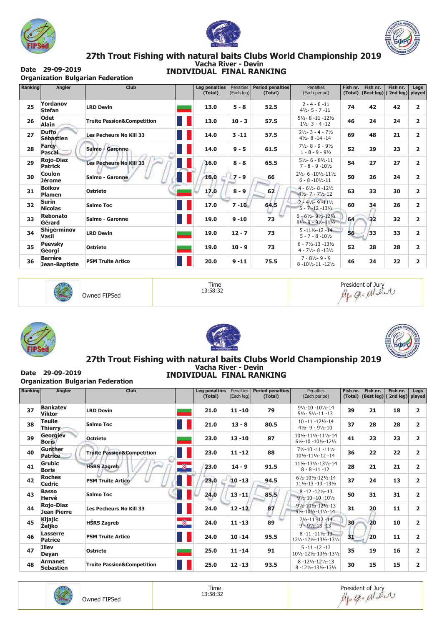





## 27th Trout Fishing with natural baits Clubs World Championship 2019<br>Vacha River - Devin **INDIVIDUAL FINAL RANKING**

Date 29-09-2019 **Organization Bulgarian Federation** 

| <b>Ranking</b> | Angler                             | <b>Club</b>                           | <b>Leg penalties</b><br>(Total) | <b>Penalties</b><br>(Each leg) | <b>Period penalties</b><br>(Total) | <b>Penalties</b><br>(Each period)                                                                      | Fish nr.<br>(Total) | Fish nr.<br>(Best leg) | Fish nr.<br>(2nd leg) | Legs<br>played          |
|----------------|------------------------------------|---------------------------------------|---------------------------------|--------------------------------|------------------------------------|--------------------------------------------------------------------------------------------------------|---------------------|------------------------|-----------------------|-------------------------|
| 25             | Yordanov<br><b>Stefan</b>          | <b>LRD Devin</b>                      | 13.0                            | $5 - 8$                        | 52.5                               | $2 - 4 - 8 - 11$<br>$4\frac{1}{2}$ - 5 - 7 -11                                                         | 74                  | 42                     | 42                    | $\overline{\mathbf{c}}$ |
| 26             | <b>Odet</b><br><b>Alain</b>        | <b>Truite Passion&amp;Competition</b> | 13.0                            | $10 - 3$                       | 57.5                               | $5\frac{1}{2}$ - 8 - 11 - 12 $\frac{1}{2}$<br>$1\frac{1}{2} - 3 - 4 - 12$                              | 46                  | 24                     | 24                    | 2                       |
| 27             | <b>Duffo</b><br><b>Sébastien</b>   | <b>Les Pecheurs No Kill 33</b>        | 14.0                            | $3 - 11$                       | 57.5                               | $2\frac{1}{2} - 3 - 4 - \frac{7\frac{1}{2}}{2}$<br>$4\frac{1}{2} - 8 - 14 - 14$                        | 69                  | 48                     | 21                    | $\overline{\mathbf{c}}$ |
| 28             | <b>Farcy</b><br><b>Pascal</b>      | Salmo - Garonne                       | 14.0                            | $9 - 5$                        | 61.5                               | $7\frac{1}{2} - 8 - 9 - 9\frac{1}{2}$<br>$1 - 8 - 9 - 9\frac{1}{2}$                                    | 52                  | 29                     | 23                    | $\overline{\mathbf{c}}$ |
| 29             | <b>Rojo-Diaz</b><br><b>Patrick</b> | <b>Les Pecheurs No Kill 33</b>        | 16.0                            | $8 - 8$                        | 65.5                               | $5\frac{1}{2} - 6 - 8\frac{1}{2} - 11$<br>$7 - 8 - 9 - 10\frac{1}{2}$                                  | 54                  | 27                     | 27                    | 2                       |
| 30             | <b>Coulon</b><br><b>Jérome</b>     | Salmo - Garonne                       | 16.0                            | $7 - 9$                        | 66                                 | 21/2-6-101/2-111/2<br>$6 - 8 - 10\frac{1}{2} - 11$                                                     | 50                  | 26                     | 24                    | 2                       |
| 31             | <b>Boikov</b><br>Plamen            | <b>Ostrieto</b>                       | 17.0                            | $8 - 9$                        | 62                                 | $4 - 6\frac{1}{2} - 8 - 12\frac{1}{2}$<br>$4\frac{1}{2} - 7 - \frac{7\frac{1}{2}}{12}$                 | 63                  | 33                     | 30                    | 2                       |
| 32             | <b>Surin</b><br><b>Nicolas</b>     | <b>Salmo Toc</b>                      | 17.0                            | $7 - 10$                       | 64.5                               | $2 - 4\frac{1}{2} - 9 - 11\frac{1}{2}$<br>$5 - 7 - 12 - 13\frac{1}{2}$                                 | 60                  | 34                     | 26                    | $\overline{\mathbf{c}}$ |
| 33             | <b>Rebonato</b><br>Gérard          | Salmo - Garonne                       | 19.0                            | $9 - 10$                       | 73                                 | $6 - 6\frac{1}{2} - 9\frac{1}{2} - 12\frac{1}{2}$<br>$8\frac{1}{2} - 9 - 9\frac{1}{2} - 11\frac{1}{2}$ | 64                  | 32                     | 32                    | 2                       |
| 34             | <b>Shigerminov</b><br><b>Vasil</b> | <b>LRD Devin</b>                      | 19.0                            | $12 - 7$                       | 73                                 | $5 - 11\frac{1}{2} - 12 - 14$<br>$5 - 7 - 8 - 10\frac{1}{2}$                                           | 56                  | 33                     | 33                    | 2                       |
| 35             | <b>Peevsky</b><br>Georgi           | <b>Ostrieto</b>                       | 19.0                            | $10 - 9$                       | 73                                 | $6 - 7\frac{1}{2} - 13 - 13\frac{1}{2}$<br>$4 - 7\frac{1}{2} - 8 - 13\frac{1}{2}$                      | 52                  | 28                     | 28                    | $\overline{\mathbf{c}}$ |
| 36             | <b>Barrére</b><br>Jean-Baptiste    | <b>PSM Truite Artico</b>              | 20.0                            | $9 - 11$                       | 75.5                               | $7 - 8\frac{1}{2} - 9 - 9$<br>$8 - 10\frac{1}{2} - 11 - 12\frac{1}{2}$                                 | 46                  | 24                     | 22                    | 2                       |



Owned FIPSed

Time 13:58:32









## 27th Trout Fishing with natural baits Clubs World Championship 2019 **INDIVIDUAL FINAL RANKING**

Date 29-09-2019 **Organization Bulgarian Federation** 

| <b>Ranking</b> | Angler                                 | <b>Club</b>                           | Leg penalties<br>(Total) | Penalties<br>(Each leg) | <b>Period penalties</b><br>(Total) | <b>Penalties</b><br>(Each period)                                           | Fish nr.        | Fish nr.<br>$(Total)$ (Best leg) | Fish nr.<br>(2nd leg) | Legs<br>played |
|----------------|----------------------------------------|---------------------------------------|--------------------------|-------------------------|------------------------------------|-----------------------------------------------------------------------------|-----------------|----------------------------------|-----------------------|----------------|
| 37             | <b>Bankatev</b><br><b>Viktor</b>       | <b>LRD Devin</b>                      | 21.0                     | $11 - 10$               | 79                                 | 91/2-10 -101/2-14<br>$5\frac{1}{2}$ - 5 $\frac{1}{2}$ -11 -13               | 39              | 21                               | 18                    | $\overline{2}$ |
| 38             | <b>Teulie</b><br><b>Thierry</b>        | <b>Salmo Toc</b>                      | 21.0                     | $13 - 8$                | 80.5                               | $10 - 11 - 12\frac{1}{2} - 14$<br>$4\frac{1}{2} - 9 - 9\frac{1}{2} - 10$    | 37              | 28                               | 28                    | $\overline{2}$ |
| 39             | Georgiev<br><b>Boris</b>               | <b>Ostrieto</b>                       | 23.0                     | $13 - 10$               | 87                                 | 101/2-111/2-111/2-14<br>$6\frac{1}{2} - 10 - 10\frac{1}{2} - 12\frac{1}{2}$ | 41              | 23                               | 23                    | $\overline{2}$ |
| 40             | <b>Gunther</b><br><b>Patrice</b>       | <b>Truite Passion&amp;Competition</b> | 23.0                     | $11 - 12$               | 88                                 | $7\frac{1}{2} - 10 - 11 - 11\frac{1}{2}$<br>101/2-111/2-12-14               | 36              | 22                               | 22                    | 2              |
| 41             | <b>Grubic</b><br><b>Boris</b>          | Ø.<br><b>HSRS Zagreb</b>              | 23.0                     | $14 - 9$                | 91.5                               | 111/2-131/2-131/2-14<br>$8 - 8 - 11 - 12$                                   | 28              | 21                               | 21                    | 2              |
| 42             | <b>Roches</b><br><b>Cedric</b>         | <b>PSM Truite Artico</b>              | 23.0                     | $10 - 13$               | 94.5                               | 61/2-101/2-121/2-14<br>$11\frac{1}{2} - 13 - 13 - 13\frac{1}{2}$            | 37              | 24                               | 13                    | $\overline{2}$ |
| 43             | <b>Basso</b><br>Hervé                  | <b>Salmo Toc</b>                      | 24.0                     | $13 - 11$               | 85.5                               | $8 - 12 - 12\frac{1}{2} - 13$<br>$9\frac{1}{2} - 10 - 10 - 10\frac{1}{2}$   | 50              | 31                               | 31                    | 2              |
| 44             | <b>Rojo-Diaz</b><br><b>Jean Pierre</b> | <b>Les Pecheurs No Kill 33</b>        | 24.0                     | $12 - 12$               | 87                                 | $9\frac{1}{2} - 10\frac{1}{2} - 12\frac{1}{2} - 13$<br>51/2-101/2-111/2-14  | 31              | 20                               | 11                    | $\overline{2}$ |
| 45             | Kljajic<br><b>Żeljko</b>               | $\bullet$<br><b>HŠRS Zagreb</b>       | 24.0                     | $11 - 13$               | 89                                 | $7\frac{1}{2} - 11 - 12 - 14$<br>$9 - 9\frac{1}{2} - 13 - 13$               | 30 <sub>l</sub> | 20                               | 10                    | $\overline{2}$ |
| 46             | Lasserre<br><b>Patrice</b>             | <b>PSM Truite Artico</b>              | 24.0                     | $10 - 14$               | 95.5                               | $8 - 11 - 11\frac{1}{2} - 13$<br>121/2-121/2-131/2-131/2                    | 31              | 20                               | 11                    | $\overline{2}$ |
| 47             | <b>Iliev</b><br>Deyan                  | <b>Ostrieto</b>                       | 25.0                     | $11 - 14$               | 91                                 | $5 - 11 - 12 - 13$<br>101/2-121/2-131/2-131/2                               | 35              | 19                               | 16                    | $\overline{2}$ |
| 48             | <b>Armanet</b><br><b>Sebastien</b>     | <b>Truite Passion&amp;Competition</b> | 25.0                     | $12 - 13$               | 93.5                               | 8-121/2-121/2-13<br>8-121/2-131/2-131/2                                     | 30              | 15                               | 15                    | $\mathbf{z}$   |



Time 13:58:32

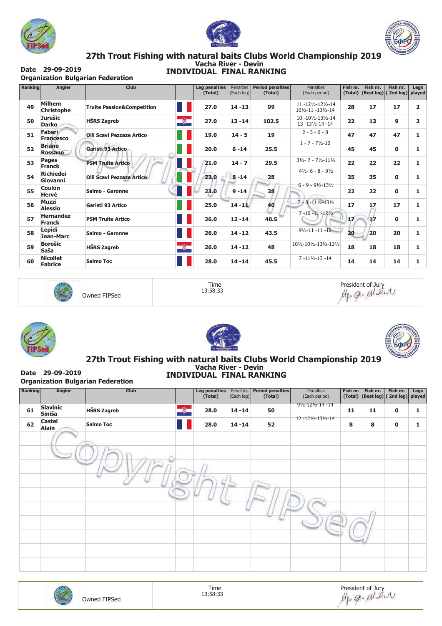





## 27th Trout Fishing with natural baits Clubs World Championship 2019<br>Vacha River - Devin **INDIVIDUAL FINAL RANKING**

Date 29-09-2019 **Organization Bulgarian Federation** 

| <b>Ranking</b> | Angler                             | <b>Club</b>                                 | Leg penalties<br>(Total) | <b>Penalties</b><br>(Each leg) | <b>Period penalties</b><br>(Total) | <b>Penalties</b><br>(Each period)                 | Fish nr.<br>(Total) | Fish nr.<br>$\vert$ (Best leg) | Fish nr.<br>(2nd leg) | Legs<br>played |
|----------------|------------------------------------|---------------------------------------------|--------------------------|--------------------------------|------------------------------------|---------------------------------------------------|---------------------|--------------------------------|-----------------------|----------------|
|                |                                    |                                             |                          |                                |                                    |                                                   |                     |                                |                       |                |
| 49             | <b>Milhem</b><br><b>Christophe</b> | <b>Truite Passion&amp;Competition</b><br>Ū, | 27.0                     | $14 - 13$                      | 99                                 | 11-121/2-121/2-14<br>101/2-11 -131/2-14           | 28                  | 17                             | 17                    | 2              |
| 50             | <b>Jurešic</b><br><b>Darko</b>     | œ,<br><b>HŠRS Zagreb</b>                    | 27.0                     | $13 - 14$                      | 102.5                              | 10-101/2-131/2-14<br>13 -131/2-14 -14             | 22                  | 13                             | 9                     | 2              |
| 51             | Faberi<br><b>Francesco</b>         | <b>Olli Scavi Pezzaze Artico</b>            | 19.0                     | $14 - 5$                       | 19                                 | $2 - 3 - 6 - 8$                                   | 47                  | 47                             | 47                    | 1              |
| 52             | <b>Briano</b><br><b>Rossano</b>    | Garisti 93 Artico                           | 20.0                     | $6 - 14$                       | 25.5                               | $1 - 7 - 71/2 - 10$                               | 45                  | 45                             | 0                     | 1              |
| 53             | Pages<br><b>Franck</b>             | <b>PSM Truite Artico</b>                    | 21.0                     | $14 - 7$                       | 29.5                               | $3\frac{1}{2} - 7 - 7\frac{1}{2} - 11\frac{1}{2}$ | 22                  | 22                             | 22                    | 1              |
| 54             | <b>Richiedei</b><br>Giovanni       | <b>Olli Scavi Pezzaze Artico</b>            | 22.0                     | $8 - 14$                       | 28                                 | $4\frac{1}{2} - 6 - 8 - 9\frac{1}{2}$             | 35                  | 35                             | 0                     | ı              |
| 55             | <b>Coulon</b><br>Hervé             | Salmo - Garonne                             | 23.0                     | $9 - 14$                       | 38                                 | $6 - 9 - 9\frac{1}{2} - 13\frac{1}{2}$            | 22                  | 22                             | $\mathbf{0}$          | 1              |
| 56             | <b>Muzzi</b><br><b>Alessio</b>     | Garisti 93 Artico                           | 25.0                     | $14 - 11$                      | 40                                 | $7 - 8 - 11\frac{1}{2} - 13\frac{1}{2}$           | 17                  | 17                             | 17                    | 1              |
| 57             | <b>Hernandez</b><br><b>Franck</b>  | <b>PSM Truite Artico</b>                    | 26.0                     | $12 - 14$                      | 40.5                               | $7 - 10 - 11 - 12\frac{1}{2}$                     | 17                  | 17                             | $\bf{0}$              |                |
| 58             | Lepidi<br>Jean-Marc                | Salmo - Garonne                             | 26.0                     | $14 - 12$                      | 43.5                               | $9\frac{1}{2} - 11 - 11 - 12$                     | 20                  | 20                             | 20                    | 1              |
| 59             | <b>Borošic</b><br>Saša             | ÷<br><b>HŠRS Zagreb</b>                     | 26.0                     | $14 - 12$                      | 48                                 | 101/2-101/2-131/2-131/2                           | 18                  | 18                             | 18                    | 1              |
| 60             | <b>Nicollet</b><br><b>Fabrice</b>  | <b>Salmo Toc</b>                            | 28.0                     | $14 - 14$                      | 45.5                               | $7 - 11\frac{1}{2} - 13 - 14$                     | 14                  | 14                             | 14                    | 1              |



Owned FIPSed

Time 13:58:33

President of Jury<br>Mgo Q.= Matter







## 27th Trout Fishing with natural baits Clubs World Championship 2019 **INDIVIDUAL FINAL RANKING**

Date 29-09-2019 **Organization Bulgarian Federation** 

| Ranking | Angler                        | Club               |           | Leg penalties<br>(Total) | Penalties<br>(Each leg) | <b>Period penalties</b><br>(Total) | Penalties<br>(Each period) |    | Fish nr. Fish nr. | Fish nr.<br>$(Total)$ (Best leg) (2nd leg) | Legs<br>played |
|---------|-------------------------------|--------------------|-----------|--------------------------|-------------------------|------------------------------------|----------------------------|----|-------------------|--------------------------------------------|----------------|
| 61      | <b>Slavinic</b><br>Siniša     | <b>HŠRS Zagreb</b> | $\bullet$ | 28.0                     | $14 - 14$               | 50                                 | 91/2-121/2-14-14           | 11 | 11                | $\mathbf 0$                                | 1              |
| 62      | <b>Castel</b><br><b>Alain</b> | <b>Salmo Toc</b>   |           | 28.0                     | $14 - 14$               | 52                                 | 12-121/2-131/2-14          | 8  | 8                 | 0                                          | 1              |
|         |                               |                    |           |                          |                         |                                    |                            |    |                   |                                            |                |
|         |                               |                    |           |                          |                         |                                    |                            |    |                   |                                            |                |
|         |                               |                    |           |                          |                         |                                    |                            |    |                   |                                            |                |
|         |                               |                    |           |                          |                         |                                    |                            |    |                   |                                            |                |
|         |                               |                    |           |                          |                         |                                    |                            |    |                   |                                            |                |
|         |                               |                    |           |                          |                         |                                    |                            |    |                   |                                            |                |
|         |                               |                    |           |                          |                         |                                    |                            |    |                   |                                            |                |
|         |                               |                    |           |                          |                         |                                    |                            |    |                   |                                            |                |
|         |                               |                    |           |                          |                         |                                    |                            |    |                   |                                            |                |
|         |                               |                    |           |                          |                         |                                    |                            |    |                   |                                            |                |

| Owned FIPSed | Time<br>13:58:33 | President of Jury<br>allest<br>V |
|--------------|------------------|----------------------------------|
|--------------|------------------|----------------------------------|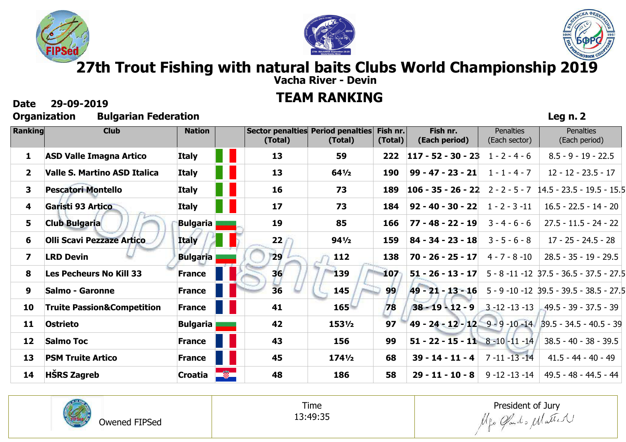





**Leg n. 2**

# **. 27th Trout Fishing with natural baits Clubs World Championship 2019**

**Vacha River - Devin**

## . **TEAM RANKING**

## **Date 29-09-2019**

| Ranking      | <b>Club</b>                           | <b>Nation</b>   |    | (Total) | Sector penalties Period penalties<br>(Total) | Fish nr.<br>(Total) | Fish nr.<br>(Each period)          | <b>Penalties</b><br>(Each sector) | <b>Penalties</b><br>(Each period)                         |
|--------------|---------------------------------------|-----------------|----|---------|----------------------------------------------|---------------------|------------------------------------|-----------------------------------|-----------------------------------------------------------|
| 1            | <b>ASD Valle Imagna Artico</b>        | <b>Italy</b>    |    | 13      | 59                                           | 222                 | $117 - 52 - 30 - 23$               | $1 - 2 - 4 - 6$                   | $8.5 - 9 - 19 - 22.5$                                     |
| $\mathbf{2}$ | Valle S. Martino ASD Italica          | <b>Italy</b>    |    | 13      | $64\frac{1}{2}$                              | <b>190</b>          | $99 - 47 - 23 - 21$                | $1 - 1 - 4 - 7$                   | $12 - 12 - 23.5 - 17$                                     |
| $\mathbf{3}$ | <b>Pescatori Montello</b>             | <b>Italy</b>    |    | 16      | 73                                           | 189                 | $106 - 35 - 26 - 22$               | $2 - 2 - 5 - 7$                   | 14.5 - 23.5 - 19.5 - 15.5                                 |
| 4            | Garisti 93 Artico                     | <b>Italy</b>    |    | 17      | 73                                           | 184                 | $92 - 40 - 30 - 22$                | $1 - 2 - 3 - 11$                  | $16.5 - 22.5 - 14 - 20$                                   |
| 5            | <b>Club Bulgaria</b>                  | <b>Bulgaria</b> |    | 19      | 85                                           | 166                 | $77 - 48 - 22 - 19$                | $3 - 4 - 6 - 6$                   | $27.5 - 11.5 - 24 - 22$                                   |
| 6            | <b>Olli Scavi Pezzaze Artico</b>      | Italy           |    | 22      | $94\frac{1}{2}$                              | 159                 | $84 - 34 - 23 - 18$                | $3 - 5 - 6 - 8$                   | $17 - 25 - 24.5 - 28$                                     |
| 7            | <b>LRD Devin</b>                      | <b>Bulgaria</b> |    | 29      | 112                                          | 138                 | $70 - 26 - 25 - 17$                | $4 - 7 - 8 - 10$                  | $28.5 - 35 - 19 - 29.5$                                   |
| 8            | Les Pecheurs No Kill 33               | <b>France</b>   |    | 36      | <b>139</b>                                   | 107                 | $51 - 26 - 13 - 17$                |                                   | 5 - 8 -11 -12 37.5 - 36.5 - 37.5 - 27.5                   |
| 9            | <b>Salmo - Garonne</b>                | <b>France</b>   |    | 36      | <b>145</b>                                   | 99                  | $49 - 21 - 13 - 16$                |                                   | 5 - 9 -10 -12 39.5 - 39.5 - 38.5 - 27.5                   |
| 10           | <b>Truite Passion&amp;Competition</b> | <b>France</b>   |    | 41      | 165                                          | 78                  | $38 - 19 - 12 - 9$                 | $-3 - 12 - 13 - 13$               | $-49.5 - 39 - 37.5 - 39$                                  |
| 11           | Ostrieto                              | <b>Bulgaria</b> |    | 42      | 1531/2                                       | 97                  |                                    |                                   | 49 - 24 - 12 - 12 9 - 9 - 10 - 14 39.5 - 34.5 - 40.5 - 39 |
| 12           | <b>Salmo Toc</b>                      | <b>France</b>   |    | 43      | 156                                          | 99                  | 51 - 22 - 15 - 11 8 - 10 - 11 - 14 |                                   | $38.5 - 40 - 38 - 39.5$                                   |
| 13           | <b>PSM Truite Artico</b>              | France          |    | 45      | $174\frac{1}{2}$                             | 68                  | $39 - 14 - 11 - 4$                 | $7 - 11 - 13 - 14$                | $41.5 - 44 - 40 - 49$                                     |
| 14           | <b>HSRS Zagreb</b>                    | Croatia         | Ø. | 48      | 186                                          | 58                  | $29 - 11 - 10 - 8$                 | $9 - 12 - 13 - 14$                | 49.5 - 48 - 44.5 - 44                                     |



Time 13:49:35

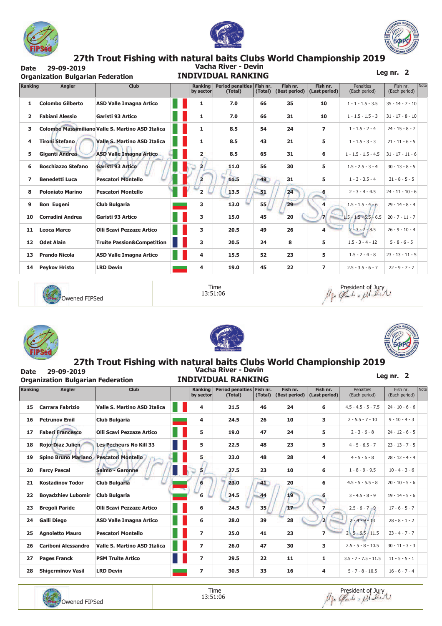





# 27th Trout Fishing with natural baits Clubs World Championship 2019<br>2019 Vacha River - Devin

29-09-2019 **Date Organization Bulgarian Federation** 

## **INDIVIDUAL RANKING**

Leg nr.  $2$ 

| Ranking | <b>Angler</b>             | <b>Club</b>                                       | <b>Ranking</b><br>by sector | Period penalties<br>(Total) | Fish nr.<br>(Total) | Fish nr.<br>(Best period) | Fish nr.<br>(Last period) | <b>Penalties</b><br>(Each period) | Fish nr.<br>(Each period) | Not |
|---------|---------------------------|---------------------------------------------------|-----------------------------|-----------------------------|---------------------|---------------------------|---------------------------|-----------------------------------|---------------------------|-----|
| 1       | <b>Colombo Gilberto</b>   | <b>ASD Valle Imagna Artico</b>                    | 1                           | 7.0                         | 66                  | 35                        | 10                        | $1 - 1 - 1.5 - 3.5$               | $35 - 14 - 7 - 10$        |     |
| 2       | <b>Fabiani Alessio</b>    | Garisti 93 Artico                                 | $\mathbf{1}$                | 7.0                         | 66                  | 31                        | 10                        | $1 - 1.5 - 1.5 - 3$               | $31 - 17 - 8 - 10$        |     |
| 3       |                           | Colombo Massimiliano Valle S. Martino ASD Italica | 1                           | 8.5                         | 54                  | 24                        | $\overline{ }$            | $1 - 1.5 - 2 - 4$                 | $24 - 15 - 8 - 7$         |     |
| 4       | Tironi Stefano            | <b>Valle S. Martino ASD Italica</b>               | 1                           | 8.5                         | 43                  | 21                        | 5                         | $1 - 1.5 - 3 - 3$                 | $21 - 11 - 6 - 5$         |     |
| 5       | Giganti Andrea            | <b>ASD Valle Imagna Artico</b>                    | $\overline{2}$              | 8.5                         | 65                  | 31                        | 6                         | $1 - 1.5 - 1.5 - 4.5$             | $31 - 17 - 11 - 6$        |     |
| 6       | <b>Boschiazzo Stefano</b> | Garisti 93 Artico                                 | $\mathbf{2}$                | 11.0                        | 56                  | 30                        | 5                         | $1.5 - 2.5 - 3 - 4$               | $30 - 13 - 8 - 5$         |     |
| 7       | <b>Benedetti Luca</b>     | <b>Pescatori Montello</b>                         | $\overline{2}$              | 11.5                        | 49                  | 31                        | 5                         | $1 - 3 - 3.5 - 4$                 | $31 - 8 - 5 - 5$          |     |
| 8       | <b>Poloniato Marino</b>   | <b>Pescatori Montello</b>                         | $\overline{2}$              | 13.5                        | 51                  | 24                        | 6                         | $2 - 3 - 4 - 4.5$                 | $24 - 11 - 10 - 6$        |     |
| 9       | <b>Bon Eugeni</b>         | Club Bulgaria                                     | 3                           | 13.0                        | 55                  | 29                        | 4                         | $1.5 - 1.5 - 4 - 6$               | $29 - 14 - 8 - 4$         |     |
| 10      | <b>Corradini Andrea</b>   | Garisti 93 Artico                                 | 3                           | 15.0                        | 45                  | 20                        | $\mathbf{z}$              | $1.5 - 1.5 - 5.5 - 6.5$           | $20 - 7 - 11 - 7$         |     |
| 11      | <b>Leoca Marco</b>        | <b>Olli Scavi Pezzaze Artico</b>                  | 3                           | 20.5                        | 49                  | 26                        | 4                         | $2 - 3 - 7 - 8.5$                 | $26 - 9 - 10 - 4$         |     |
| 12      | <b>Odet Alain</b>         | <b>Truite Passion&amp;Competition</b>             | 3                           | 20.5                        | 24                  | 8                         | 5                         | $1.5 - 3 - 4 - 12$                | $5 - 8 - 6 - 5$           |     |
| 13      | <b>Prando Nicola</b>      | <b>ASD Valle Imagna Artico</b>                    | 4                           | 15.5                        | 52                  | 23                        | 5                         | $1.5 - 2 - 4 - 8$                 | $23 - 13 - 11 - 5$        |     |
| 14      | <b>Peykov Hristo</b>      | <b>LRD Devin</b>                                  | 4                           | 19.0                        | 45                  | 22                        | 7                         | $2.5 - 3.5 - 6 - 7$               | $22 - 9 - 7 - 7$          |     |



Time 13:51:06





**Date** 





#### 27th Trout Fishing with natural baits Clubs World Championship 2019 Vacha River - Devin 29-09-2019

| Date<br>29-09-2019<br>Valila Rivel - Devill<br><b>INDIVIDUAL RANKING</b><br><b>Organization Bulgarian Federation</b> |                            |                                     |  |                             |                                      |         |                           |                           |                                   |                           |     |
|----------------------------------------------------------------------------------------------------------------------|----------------------------|-------------------------------------|--|-----------------------------|--------------------------------------|---------|---------------------------|---------------------------|-----------------------------------|---------------------------|-----|
| Ranking                                                                                                              | Angler                     | <b>Club</b>                         |  | <b>Ranking</b><br>by sector | Period penalties Fish nr.<br>(Total) | (Total) | Fish nr.<br>(Best period) | Fish nr.<br>(Last period) | <b>Penalties</b><br>(Each period) | Fish nr.<br>(Each period) | Not |
| 15                                                                                                                   | <b>Carrara Fabrizio</b>    | <b>Valle S. Martino ASD Italica</b> |  | 4                           | 21.5                                 | 46      | 24                        | 6                         | $4.5 - 4.5 - 5 - 7.5$             | $24 - 10 - 6 - 6$         |     |
| 16                                                                                                                   | <b>Petrunov Emil</b>       | Club Bulgaria                       |  | 4                           | 24.5                                 | 26      | 10                        | 3                         | $2 - 5.5 - 7 - 10$                | $9 - 10 - 4 - 3$          |     |
| 17                                                                                                                   | <b>Faberi Francesco</b>    | <b>Olli Scavi Pezzaze Artico</b>    |  | 5                           | 19.0                                 | 47      | 24                        | 5                         | $2 - 3 - 6 - 8$                   | $24 - 12 - 6 - 5$         |     |
| 18                                                                                                                   | Rojo-Diaz Julien           | <b>Les Pecheurs No Kill 33</b>      |  | 5                           | 22.5                                 | 48      | 23                        | 5                         | $4 - 5 - 6.5 - 7$                 | $23 - 13 - 7 - 5$         |     |
| 19                                                                                                                   | <b>Spino Bruno Mariano</b> | <b>Pescatori Montello</b>           |  | 5                           | 23.0                                 | 48      | 28                        | 4                         | $4 - 5 - 6 - 8$                   | $28 - 12 - 4 - 4$         |     |
| 20                                                                                                                   | <b>Farcy Pascal</b>        | Salmo - Garonne                     |  | 5                           | 27.5                                 | 23      | 10                        | 6                         | $1 - 8 - 9 - 9.5$                 | $10 - 4 - 3 - 6$          |     |
| 21                                                                                                                   | <b>Kostadinov Todor</b>    | <b>Club Bulgaria</b>                |  | 6                           | 23.0                                 | $-41$   | 20                        | 6                         | $4.5 - 5 - 5.5 - 8$               | $20 - 10 - 5 - 6$         |     |
| 22                                                                                                                   | <b>Boyadzhiev Lubomir</b>  | <b>Club Bulgaria</b>                |  | 6                           | 24.5                                 | 44      | 19                        | 6                         | $3 - 4.5 - 8 - 9$                 | $19 - 14 - 5 - 6$         |     |
| 23                                                                                                                   | <b>Bregoli Paride</b>      | <b>Olli Scavi Pezzaze Artico</b>    |  | 6                           | 24.5                                 | 35      | 17                        | 7                         | $2.5 - 6 - 7 - 9$                 | $17 - 6 - 5 - 7$          |     |
| 24                                                                                                                   | <b>Galli Diego</b>         | <b>ASD Valle Imagna Artico</b>      |  | 6                           | 28.0                                 | 39      | 28                        | $\mathbf{z}$              | $2 - 4 - 9 - 13$                  | $28 - 8 - 1 - 2$          |     |
| 25                                                                                                                   | <b>Agnoletto Mauro</b>     | <b>Pescatori Montello</b>           |  | $\overline{ }$              | 25.0                                 | 41      | 23                        | 7                         | $2 - 5 - 6.5 - 11.5$              | $23 - 4 - 7 - 7$          |     |
| 26                                                                                                                   | <b>Cariboni Alessandro</b> | <b>Valle S. Martino ASD Italica</b> |  | $\overline{ }$              | 26.0                                 | 47      | 30                        | з                         | $2.5 - 5 - 8 - 10.5$              | $30 - 11 - 3 - 3$         |     |
| 27                                                                                                                   | <b>Pages Franck</b>        | <b>PSM Truite Artico</b>            |  | $\overline{ }$              | 29.5                                 | 22      | 11                        | 1                         | $3.5 - 7 - 7.5 - 11.5$            | $11 - 5 - 5 - 1$          |     |



**LRD Devin** 

**Shigerminov Vasil** 

28

30.5

33

16

 $\overline{\mathbf{4}}$ 

 $\overline{z}$ 



 $5 - 7 - 8 - 10.5$ 

 $16 - 6 - 7 - 4$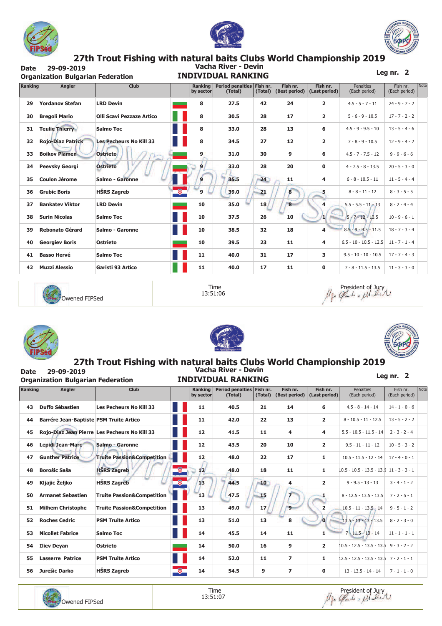





Fish nr.

(Each period)

 $24 - 9 - 7 - 2$ 

 $17 - 7 - 2 - 2$ 

Leg nr.  $2$ 

Penalties

(Each period)

 $4.5 - 5 - 7 - 11$ 

 $5 - 6 - 9 - 10.5$ 

Fish nr.

(Last period)

 $\overline{2}$ 

 $\overline{\mathbf{2}}$ 

### 27th Trout Fishing with natural baits Clubs World Championship 2019<br>Vacha River - Devin 29-09-2019

| <b>Date</b> | 29-09-2019<br><b>Organization Bulgarian Federation</b> |                                         | Vacha River - Devin<br><b>INDIVIDUAL RANKING</b> |                             |                                      |              |                           |  |  |
|-------------|--------------------------------------------------------|-----------------------------------------|--------------------------------------------------|-----------------------------|--------------------------------------|--------------|---------------------------|--|--|
| Ranking     | Angler                                                 | <b>Club</b>                             |                                                  | <b>Ranking</b><br>by sector | Period penalties Fish nr.<br>(Total) | (Total)      | Fish nr.<br>(Best period) |  |  |
| 29          | <b>Yordanov Stefan</b>                                 | <b>LRD Devin</b>                        |                                                  | 8                           | 27.5                                 | 42           | 24                        |  |  |
| 30          | <b>Bregoli Mario</b>                                   | <b>Olli Scavi Pezzaze Artico</b>        |                                                  | 8                           | 30.5                                 | 28           | 17                        |  |  |
| 31          | <b>Teulie Thierry</b>                                  | Salmo Toc                               |                                                  | 8                           | 33.0                                 | 28           | 13                        |  |  |
| 32          | <b>Rojo-Diaz Patrick</b>                               | <b>Les Pecheurs No Kill 33</b>          |                                                  | 8                           | 34.5                                 | 27           | 12                        |  |  |
| $\sim$      | Button Blomed                                          | <b>ALLISLE</b><br><b>Call Cold Cold</b> |                                                  | $\sim$                      | 240                                  | $\mathbf{a}$ | $\sim$                    |  |  |

| 31 | <b>Teulie Thierry</b>    | <b>Salmo Toc</b>               | 8               | 33.0 | 28    | 13                      | 6              | $4.5 - 9 - 9.5 - 10$     | $13 - 5 - 4 - 6$ |  |
|----|--------------------------|--------------------------------|-----------------|------|-------|-------------------------|----------------|--------------------------|------------------|--|
| 32 | <b>Rojo-Diaz Patrick</b> | <b>Les Pecheurs No Kill 33</b> | 8               | 34.5 | 27    | 12                      | $\overline{2}$ | $7 - 8 - 9 - 10.5$       | $12 - 9 - 4 - 2$ |  |
| 33 | <b>Boikov Plamen</b>     | <b>Ostrieto</b>                | 9               | 31.0 | 30    | 9                       | 6              | $4.5 - 7 - 7.5 - 12$     | $9 - 9 - 6 - 6$  |  |
| 34 | <b>Peevsky Georgi</b>    | <b>Ostrieto</b>                | 9 <sub>l</sub>  | 33.0 | 28    | 20                      | 0              | $4 - 7.5 - 8 - 13.5$     | $20 - 5 - 3 - 0$ |  |
| 35 | <b>Coulon Jérome</b>     | Salmo - Garonne                | 9               | 35.5 | $-24$ | 11                      | 4              | $6 - 8 - 10.5 - 11$      | $11 - 5 - 4 - 4$ |  |
| 36 | <b>Grubic Boris</b>      | <b>HŠRS Zagreb</b>             | $\sqrt{2}$<br>9 | 39.0 | 21    | $\overline{\mathbf{8}}$ | 5              | $8 - 8 - 11 - 12$        | $8 - 3 - 5 - 5$  |  |
| 37 | <b>Bankatev Viktor</b>   | <b>LRD Devin</b>               | 10              | 35.0 | 18    | 8                       | 4              | $5.5 - 5.5 - 11 - 13$    | $8 - 2 - 4 - 4$  |  |
| 38 | <b>Surin Nicolas</b>     | <b>Salmo Toc</b>               | 10              | 37.5 | 26    | 10                      | ш              | $5 - 7 - 12 - 13.5$      | $10 - 9 - 6 - 1$ |  |
| 39 | <b>Rebonato Gérard</b>   | Salmo - Garonne                | 10              | 38.5 | 32    | 18                      | 4              | $8.5 - 9 - 9.5 - 11.5$   | $18 - 7 - 3 - 4$ |  |
| 40 | <b>Georgiev Boris</b>    | <b>Ostrieto</b>                | 10              | 39.5 | 23    | 11                      | 4              | $6.5 - 10 - 10.5 - 12.5$ | $11 - 7 - 1 - 4$ |  |
| 41 | <b>Basso Hervé</b>       | <b>Salmo Toc</b>               | 11              | 40.0 | 31    | 17                      | 3              | $9.5 - 10 - 10 - 10.5$   | $17 - 7 - 4 - 3$ |  |
| 42 | <b>Muzzi Alessio</b>     | Garisti 93 Artico              | 11              | 40.0 | 17    | 11                      | 0              | $7 - 8 - 11.5 - 13.5$    | $11 - 3 - 3 - 0$ |  |



Owened FIPSed

Time 13:51:06





**Date** 





 $\overline{\phantom{a}}$ 

#### 27th Trout Fishing with natural baits Clubs World Championship 2019<br>Vacha River - Devin 29-09-2019 Leg nr.

|         | <b>Organization Bulgarian Federation</b> |                                               | INDIVIDUAL RANKING |                             |                                        |         |                           |                           | $ -$                                        |                           |      |
|---------|------------------------------------------|-----------------------------------------------|--------------------|-----------------------------|----------------------------------------|---------|---------------------------|---------------------------|---------------------------------------------|---------------------------|------|
| Ranking | Angler                                   | <b>Club</b>                                   |                    | <b>Ranking</b><br>by sector | Period penalties   Fish nr.<br>(Total) | (Total) | Fish nr.<br>(Best period) | Fish nr.<br>(Last period) | <b>Penalties</b><br>(Each period)           | Fish nr.<br>(Each period) | Note |
| 43      | <b>Duffo Sébastien</b>                   | <b>Les Pecheurs No Kill 33</b>                |                    | 11                          | 40.5                                   | 21      | 14                        | 6                         | $4.5 - 8 - 14 - 14$                         | $14 - 1 - 0 - 6$          |      |
| 44      | Barrére Jean-Baptiste PSM Truite Artico  |                                               |                    | 11                          | 42.0                                   | 22      | 13                        | $\mathbf{2}$              | $8 - 10.5 - 11 - 12.5$                      | $13 - 5 - 2 - 2$          |      |
| 45      |                                          | Rojo-Diaz Jean Pierre Les Pecheurs No Kill 33 |                    | 12                          | 41.5                                   | 11      | 4                         | 4                         | $5.5 - 10.5 - 11.5 - 14$                    | $2 - 3 - 2 - 4$           |      |
| 46      | <b>Lepidi Jean-Marc</b>                  | Salmo - Garonne                               |                    | 12                          | 43.5                                   | 20      | 10                        | $\mathbf{2}$              | $9.5 - 11 - 11 - 12$                        | $10 - 5 - 3 - 2$          |      |
| 47      | <b>Gunther Patrice</b>                   | <b>Truite Passion&amp;Competition</b>         |                    | 12                          | 48.0                                   | 22      | 17                        | 1                         | $10.5 - 11.5 - 12 - 14$                     | $17 - 4 - 0 - 1$          |      |
| 48      | <b>Borošic Saša</b>                      | <b>HSRS Zagreb</b>                            | Ø.                 | 12                          | 48.0                                   | 18      | 11                        | 1                         | $10.5 - 10.5 - 13.5 - 13.5$ 11 - 3 - 3 - 1  |                           |      |
| 49      | Kljajic Željko                           | <b>HŠRS Zagreb</b>                            | $\overline{\circ}$ | 13                          | 44.5                                   | 10      | 4                         | $\overline{2}$            | $9 - 9.5 - 13 - 13$                         | $3 - 4 - 1 - 2$           |      |
| 50      | <b>Armanet Sebastien</b>                 | <b>Truite Passion&amp;Competition</b>         |                    | 13                          | 47.5                                   | 15      |                           |                           | $8 - 12.5 - 13.5 - 13.5$                    | $7 - 2 - 5 - 1$           |      |
| 51      | <b>Milhem Christophe</b>                 | <b>Truite Passion&amp;Competition</b>         |                    | 13                          | 49.0                                   | 17      | 9                         | $\overline{2}$            | $10.5 - 11 - 13.5 - 14$                     | $9 - 5 - 1 - 2$           |      |
| 52      | <b>Roches Cedric</b>                     | <b>PSM Truite Artico</b>                      |                    | 13                          | 51.0                                   | 13      | 8                         | $\Omega$                  | $11.5 - 13 - 13 - 13.5$                     | $8 - 2 - 3 - 0$           |      |
| 53      | <b>Nicollet Fabrice</b>                  | Salmo Toc                                     |                    | 14                          | 45.5                                   | 14      | 11                        | 1                         | $7 - 11.5 - 13 - 14$                        | $11 - 1 - 1 - 1$          |      |
| 54      | <b>Iliev Deyan</b>                       | <b>Ostrieto</b>                               |                    | 14                          | 50.0                                   | 16      | 9                         | $\overline{2}$            | $10.5 - 12.5 - 13.5 - 13.5 - 9 - 3 - 2 - 2$ |                           |      |
| 55      | <b>Lasserre Patrice</b>                  | <b>PSM Truite Artico</b>                      |                    | 14                          | 52.0                                   | 11      | $\overline{\phantom{a}}$  | 1                         | $12.5 - 12.5 - 13.5 - 13.5$ 7 - 2 - 1 - 1   |                           |      |
| 56      | Jurešic Darko                            | <b>HŠRS Zagreb</b>                            | $\frac{1}{2}$      | 14                          | 54.5                                   | 9       | 7                         | 0                         | $13 - 13.5 - 14 - 14$                       | $7 - 1 - 1 - 0$           |      |



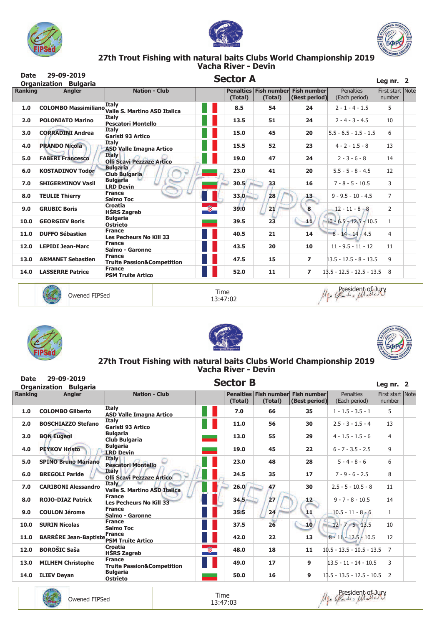





# 27th Trout Fishing with natural baits Clubs World Championship 2019<br>Vacha River - Devin

| <b>Date</b>    | 29-09-2019<br><b>Organization Bulgaria</b> |                                                                 | <b>Sector A</b> |                                              |                |                                   | Leg nr. $2$                |  |
|----------------|--------------------------------------------|-----------------------------------------------------------------|-----------------|----------------------------------------------|----------------|-----------------------------------|----------------------------|--|
| <b>Ranking</b> | <b>Angler</b>                              | <b>Nation - Club</b>                                            | (Total)         | Penalties Fish number Fish number<br>(Total) | (Best period)  | <b>Penalties</b><br>(Each period) | First start Note<br>number |  |
| 1.0            |                                            | Italy<br>COLOMBO Massimiliano xwi, Valle S. Martino ASD Italica | 8.5             | 54                                           | 24             | $2 - 1 - 4 - 1.5$                 | 5                          |  |
| 2.0            | <b>POLONIATO Marino</b>                    | <b>Italy</b><br><b>Pescatori Montello</b>                       | 13.5            | 51                                           | 24             | $2 - 4 - 3 - 4.5$                 | 10                         |  |
| 3.0            | <b>CORRADINI Andrea</b>                    | <b>Italy</b><br>Garisti 93 Artico                               | 15.0            | 45                                           | 20             | $5.5 - 6.5 - 1.5 - 1.5$           | 6                          |  |
| 4.0            | <b>PRANDO Nicola</b>                       | <b>Italy</b><br><b>ASD Valle Imagna Artico</b>                  | 15.5            | 52                                           | 23             | $4 - 2 - 1.5 - 8$                 | 13                         |  |
| 5.0            | <b>FABERI Francesco</b>                    | <b>Italy</b><br><b>Olli Scavi Pezzaze Artico</b>                | 19.0            | 47                                           | 24             | $2 - 3 - 6 - 8$                   | 14                         |  |
| 6.0            | <b>KOSTADINOV Todor</b>                    | <b>Bulgaria</b><br><b>Club Bulgaria</b>                         | 23.0            | 41                                           | 20             | $5.5 - 5 - 8 - 4.5$               | 12                         |  |
| 7.0            | <b>SHIGERMINOV Vasil</b>                   | <b>Bulgaria</b><br><b>LRD Devin</b>                             | 30.5            | 33                                           | 16             | $7 - 8 - 5 - 10.5$                | 3                          |  |
| 8.0            | <b>TEULIE Thierry</b>                      | <b>France</b><br>Salmo Toc                                      | 33.0            | 28                                           | 13             | $9 - 9.5 - 10 - 4.5$              | $\overline{7}$             |  |
| 9.0            | <b>GRUBIC Boris</b>                        | Croatia<br><b>HSRS Zagreb</b>                                   | Ø.<br>39.0      | 21                                           | 8              | $12 - 11 - 8 - 8$                 | $\overline{2}$             |  |
| 10.0           | <b>GEORGIEV Boris</b>                      | <b>Bulgaria</b><br><b>Ostrieto</b>                              | 39.5            | 23                                           | 41             | $10 - 6.5 - 12.5 - 10.5$          | $\mathbf{1}$               |  |
| 11.0           | <b>DUFFO Sébastien</b>                     | <b>France</b><br><b>Les Pecheurs No Kill 33</b>                 | 40.5            | 21                                           | 14             | $8 - 14 - 14 - 4.5$               | 4                          |  |
| 12.0           | <b>LEPIDI Jean-Marc</b>                    | <b>France</b><br>Salmo - Garonne                                | 43.5            | 20                                           | 10             | $11 - 9.5 - 11 - 12$              | 11                         |  |
| 13.0           | <b>ARMANET Sebastien</b>                   | <b>France</b><br><b>Truite Passion&amp;Competition</b>          | 47.5            | 15                                           | 7              | $13.5 - 12.5 - 8 - 13.5$          | 9                          |  |
| 14.0           | <b>LASSERRE Patrice</b>                    | <b>France</b><br><b>PSM Truite Artico</b>                       | 52.0            | 11                                           | $\overline{ }$ | $13.5 - 12.5 - 12.5 - 13.5$ 8     |                            |  |



Owened FIPSed

Time 13:47:02 lles President of Jury







# 27th Trout Fishing with natural baits Clubs World Championship 2019<br>Vacha River - Devin

| <b>Date</b>    | 29-09-2019                   |                                                        |    | <b>Sector B</b> |                                  |                                     |                             | Leg nr. $2$                |  |
|----------------|------------------------------|--------------------------------------------------------|----|-----------------|----------------------------------|-------------------------------------|-----------------------------|----------------------------|--|
|                | <b>Organization Bulgaria</b> |                                                        |    |                 |                                  |                                     |                             |                            |  |
| <b>Ranking</b> | <b>Angler</b>                | <b>Nation - Club</b>                                   |    | (Total)         | Penalties Fish number<br>(Total) | <b>Fish number</b><br>(Best period) | Penalties<br>(Each period)  | First start Note<br>number |  |
| 1.0            | <b>COLOMBO Gilberto</b>      | <b>Italy</b><br><b>ASD Valle Imagna Artico</b>         |    | 7.0             | 66                               | 35                                  | $1 - 1.5 - 3.5 - 1$         | 5                          |  |
| 2.0            | <b>BOSCHIAZZO Stefano</b>    | <b>Italy</b><br>Garisti 93 Artico                      |    | 11.0            | 56                               | 30                                  | $2.5 - 3 - 1.5 - 4$         | 13                         |  |
| 3.0            | <b>BON Eugeni</b>            | <b>Bulgaria</b><br><b>Club Bulgaria</b>                |    | 13.0            | 55                               | 29                                  | $4 - 1.5 - 1.5 - 6$         | $\overline{4}$             |  |
| 4.0            | <b>PEYKOV Hristo</b>         | <b>Bulgaria</b><br><b>LRD Devin</b>                    |    | 19.0            | 45                               | 22                                  | $6 - 7 - 3.5 - 2.5$         | 9                          |  |
| 5.0            | <b>SPINO Bruno Mariano</b>   | <b>Italy</b><br><b>Pescatori Montello</b>              |    | 23.0            | 48                               | 28                                  | $5 - 4 - 8 - 6$             | 6                          |  |
| 6.0            | <b>BREGOLI Paride</b>        | Italy<br><b>Olli Scavi Pezzaze Artico</b>              |    | 24.5            | 35                               | 17                                  | $7 - 9 - 6 - 2.5$           | 8                          |  |
| 7.0            | <b>CARIBONI Alessandro</b>   | <b>Italy</b><br><b>Valle S. Martino ASD Italica</b>    |    | 26.0            | 47                               | 30                                  | $2.5 - 5 - 10.5 - 8$        | 11                         |  |
| 8.0            | <b>ROJO-DIAZ Patrick</b>     | <b>France</b><br><b>Les Pecheurs No Kill 33</b>        |    | 34.5            | 27                               | 12 <sub>2</sub>                     | $9 - 7 - 8 - 10.5$          | 14                         |  |
| 9.0            | <b>COULON Jérome</b>         | <b>France</b><br>Salmo - Garonne                       |    | 35.5            | 24                               | 11                                  | $10.5 - 11 - 8 - 6$         | $\mathbf{1}$               |  |
| 10.0           | <b>SURIN Nicolas</b>         | <b>France</b><br><b>Salmo Toc</b>                      |    | 37.5            | 26                               | 10 <sub>l</sub>                     | $12 - 7 - 5 - 13.5$         | 10                         |  |
| 11.0           | <b>BARRÉRE Jean-Baptiste</b> | <b>France</b><br><b>PSM Truite Artico</b>              |    | 42.0            | 22                               | 13                                  | $8 - 11 - 12.5 - 10.5$      | 12                         |  |
| 12.0           | <b>BOROŠIC Saša</b>          | Croatia<br><b>HŠRS Zagreb</b>                          | Q. | 48.0            | 18                               | 11                                  | $10.5 - 13.5 - 10.5 - 13.5$ | 7                          |  |
| 13.0           | <b>MILHEM Christophe</b>     | <b>France</b><br><b>Truite Passion&amp;Competition</b> |    | 49.0            | 17                               | 9                                   | $13.5 - 11 - 14 - 10.5$     | 3                          |  |
| 14.0           | <b>ILIEV Deyan</b>           | <b>Bulgaria</b><br><b>Ostrieto</b>                     |    | 50.0            | 16                               | 9                                   | $13.5 - 13.5 - 12.5 - 10.5$ | 2                          |  |



Time 13:47:03 Me Posident of Jury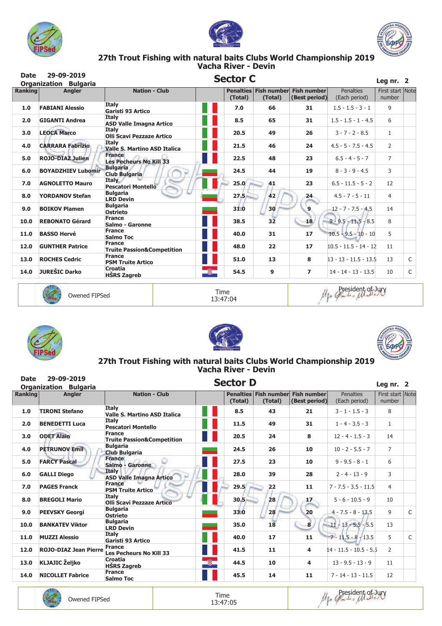





# 27th Trout Fishing with natural baits Clubs World Championship 2019<br>Vacha River - Devin

| <b>Date</b>    | 29-09-2019                                    | <b>Sector C</b>                                        |    |          |         |                                                    |                                   |                                           |   |  |
|----------------|-----------------------------------------------|--------------------------------------------------------|----|----------|---------|----------------------------------------------------|-----------------------------------|-------------------------------------------|---|--|
| <b>Ranking</b> | <b>Organization Bulgaria</b><br><b>Angler</b> | <b>Nation - Club</b>                                   |    | (Total)  | (Total) | Penalties Fish number Fish number<br>(Best period) | <b>Penalties</b><br>(Each period) | Leg nr. $2$<br>First start Note<br>number |   |  |
| 1.0            | <b>FABIANI Alessio</b>                        | <b>Italy</b><br>Garisti 93 Artico                      |    | 7.0      | 66      | 31                                                 | $1.5 - 1.5 - 3 - 1$               | 9                                         |   |  |
| 2.0            | <b>GIGANTI Andrea</b>                         | <b>Italy</b><br><b>ASD Valle Imagna Artico</b>         |    | 8.5      | 65      | 31                                                 | $1.5 - 1.5 - 1 - 4.5$             | 6                                         |   |  |
| 3.0            | <b>LEOCA Marco</b>                            | <b>Italy</b><br>Olli Scavi Pezzaze Artico              |    | 20.5     | 49      | 26                                                 | $3 - 7 - 2 - 8.5$                 | $\mathbf{1}$                              |   |  |
| 4.0            | <b>CARRARA Fabrizio</b>                       | <b>Italy</b><br><b>Valle S. Martino ASD Italica</b>    |    | 21.5     | 46      | 24                                                 | $4.5 - 5 - 7.5 - 4.5$             | $\overline{2}$                            |   |  |
| 5.0            | <b>ROJO-DIAZ Julien</b>                       | <b>France</b><br><b>Les Pecheurs No Kill 33</b>        |    | 22.5     | 48      | 23                                                 | $6.5 - 4 - 5 - 7$                 | $\overline{7}$                            |   |  |
| 6.0            | <b>BOYADZHIEV Lubomir</b>                     | <b>Bulgaria</b><br><b>Club Bulgaria</b>                |    | 24.5     | 44      | 19                                                 | $8 - 3 - 9 - 4.5$                 | 3                                         |   |  |
| 7.0            | <b>AGNOLETTO Mauro</b>                        | <b>Italy</b><br><b>Pescatori Montello</b>              |    | 25.0     | 41      | 23                                                 | $6.5 - 11.5 - 5 - 2$              | 12                                        |   |  |
| 8.0            | <b>YORDANOV Stefan</b>                        | <b>Bulgaria</b><br><b>LRD Devin</b>                    |    | $27.5 -$ | 42      | 24                                                 | $4.5 - 7 - 5 - 11$                | $\overline{4}$                            |   |  |
| 9.0            | <b>BOIKOV Plamen</b>                          | <b>Bulgaria</b><br><b>Ostrieto</b>                     |    | 31.0     | 30      | 9                                                  | $12 - 7 - 7.5 - 4.5$              | 14                                        |   |  |
| 10.0           | <b>REBONATO Gérard</b>                        | <b>France</b><br>Salmo - Garonne                       |    | 38.5     | 32      | 18                                                 | $9 - 9.5 - 11.5 - 8.5$            | 8                                         |   |  |
| 11.0           | <b>BASSO Hervé</b>                            | <b>France</b><br><b>Salmo Toc</b>                      |    | 40.0     | 31      | 17                                                 | $10.5 - 9.5 - 10 - 10$            | 5                                         |   |  |
| 12.0           | <b>GUNTHER Patrice</b>                        | <b>France</b><br><b>Truite Passion&amp;Competition</b> |    | 48.0     | 22      | 17                                                 | $10.5 - 11.5 - 14 - 12$           | 11                                        |   |  |
| 13.0           | <b>ROCHES Cedric</b>                          | <b>France</b><br><b>PSM Truite Artico</b>              |    | 51.0     | 13      | 8                                                  | $13 - 13 - 11.5 - 13.5$           | 13                                        | C |  |
| 14.0           | <b>JUREŠIC Darko</b>                          | Croatia<br><b>HSRS Zagreb</b>                          | Ģ. | 54.5     | 9       | 7                                                  | $14 - 14 - 13 - 13.5$             | 10                                        | C |  |
|                |                                               |                                                        |    |          |         |                                                    |                                   |                                           |   |  |



Owened FIPSed

Time 13:47:04 lles President of Jury







# 27th Trout Fishing with natural baits Clubs World Championship 2019<br>Vacha River - Devin

| <b>Date</b>    | 29-09-2019                   | <b>Sector D</b>                                        |    |                             |                               |                                     |                                   | Leg nr. $2$                |              |
|----------------|------------------------------|--------------------------------------------------------|----|-----------------------------|-------------------------------|-------------------------------------|-----------------------------------|----------------------------|--------------|
|                | <b>Organization Bulgaria</b> |                                                        |    |                             |                               |                                     |                                   |                            |              |
| <b>Ranking</b> | <b>Angler</b>                | <b>Nation - Club</b>                                   |    | <b>Penalties</b><br>(Total) | <b>Fish number</b><br>(Total) | <b>Fish number</b><br>(Best period) | <b>Penalties</b><br>(Each period) | First start Note<br>number |              |
| 1.0            | <b>TIRONI Stefano</b>        | <b>Italy</b><br><b>Valle S. Martino ASD Italica</b>    |    | 8.5                         | 43                            | 21                                  | $3 - 1 - 1.5 - 3$                 | 8                          |              |
| 2.0            | <b>BENEDETTI Luca</b>        | <b>Italy</b><br><b>Pescatori Montello</b>              |    | 11.5                        | 49                            | 31                                  | $1 - 4 - 3.5 - 3$                 | $\mathbf{1}$               |              |
| 3.0            | <b>ODET Alain</b>            | <b>France</b><br><b>Truite Passion&amp;Competition</b> |    | 20.5                        | 24                            | 8                                   | $12 - 4 - 1.5 - 3$                | 14                         |              |
| 4.0            | <b>PETRUNOV Emil</b>         | <b>Bulgaria</b><br><b>Club Bulgaria</b>                |    | 24.5                        | 26                            | 10                                  | $10 - 2 - 5.5 - 7$                | 7                          |              |
| 5.0            | <b>FARCY Pascal</b>          | <b>France</b><br>Salmo - Garonne                       |    | 27.5                        | 23                            | 10                                  | $9 - 9.5 - 8 - 1$                 | 6                          |              |
| 6.0            | <b>GALLI Diego</b>           | <b>Italy</b><br><b>ASD Valle Imagna Artico</b>         |    | 28.0                        | 39                            | 28                                  | $2 - 4 - 13 - 9$                  | 3                          |              |
| 7.0            | <b>PAGES Franck</b>          | <b>France</b><br><b>PSM Truite Artico</b>              |    | 29.5                        | 22                            | 11                                  | $7 - 7.5 - 3.5 - 11.5$            | 4                          |              |
| 8.0            | <b>BREGOLI Mario</b>         | <b>Italy</b><br><b>Olli Scavi Pezzaze Artico</b>       |    | 30.5 <sub>1</sub>           | 28                            | 17                                  | $5 - 6 - 10.5 - 9$                | 10                         |              |
| 9.0            | <b>PEEVSKY Georgi</b>        | <b>Bulgaria</b><br><b>Ostrieto</b>                     |    | 33.0                        | 28                            | 20                                  | $4 - 7.5 - 8 - 13.5$              | $\mathsf{q}$               | C            |
| 10.0           | <b>BANKATEV Viktor</b>       | <b>Bulgaria</b><br><b>LRD Devin</b>                    |    | 35.0                        | 18                            | 8                                   | $11 - 13 - 5.5 - 5.5$             | 13                         |              |
| 11.0           | <b>MUZZI Alessio</b>         | <b>Italy</b><br>Garisti 93 Artico                      |    | 40.0                        | 17                            | 11                                  | $7 - 11.5 - 8 - 13.5$             | 5                          | $\mathsf{C}$ |
| 12.0           | <b>ROJO-DIAZ Jean Pierre</b> | <b>France</b><br><b>Les Pecheurs No Kill 33</b>        |    | 41.5                        | 11                            | 4                                   | 14 - 11.5 - 10.5 - 5.5            | $\overline{2}$             |              |
| 13.0           | <b>KLJAJIC Željko</b>        | Croatia<br><b>HŠRS Zagreb</b>                          | Q. | 44.5                        | 10                            | 4                                   | $13 - 9.5 - 13 - 9$               | 11                         |              |
| 14.0           | <b>NICOLLET Fabrice</b>      | <b>France</b><br><b>Salmo Toc</b>                      |    | 45.5                        | 14                            | 11                                  | $7 - 14 - 13 - 11.5$              | 12                         |              |



Time 13:47:05 Mg Opesident of Jury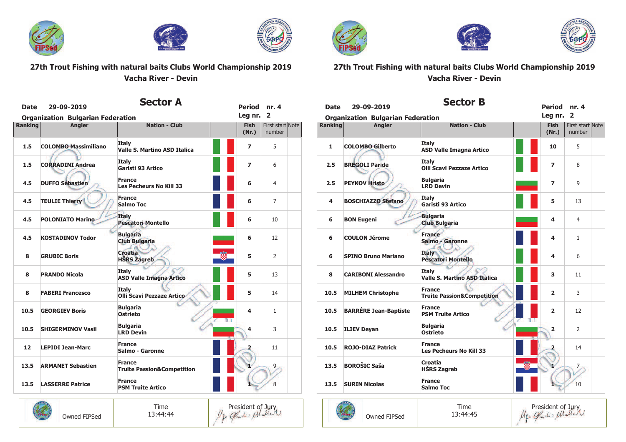





President of Jury<br>Me Gardis Matter

### 27th Trout Fishing with natural baits Clubs World Championship 2019 Vacha River - Devin

| <b>Date</b>    | 29-09-2019                               | Sector A                                               | <b>Period</b>        | nr. 4                      |
|----------------|------------------------------------------|--------------------------------------------------------|----------------------|----------------------------|
|                | <b>Organization Bulgarian Federation</b> |                                                        | Leg nr.              | $\overline{2}$             |
| <b>Ranking</b> | <b>Angler</b>                            | <b>Nation - Club</b>                                   | <b>Fish</b><br>(Nr.) | First start Note<br>number |
| 1.5            | <b>COLOMBO Massimiliano</b>              | <b>Italy</b><br><b>Valle S. Martino ASD Italica</b>    | $\overline{ }$       | 5                          |
| 1.5            | <b>CORRADINI Andrea</b>                  | Italy<br>Garisti 93 Artico                             | 7                    | 6                          |
| 4.5            | <b>DUFFO Sébastien</b>                   | <b>France</b><br><b>Les Pecheurs No Kill 33</b>        | 6                    | 4                          |
| 4.5            | <b>TEULIE Thierry</b>                    | <b>France</b><br><b>Salmo Toc</b>                      | 6                    | 7                          |
| 4.5            | <b>POLONIATO Marino</b>                  | <b>Italy</b><br><b>Pescatori Montello</b>              | 6                    | 10                         |
| 4.5            | <b>KOSTADINOV Todor</b>                  | <b>Bulgaria</b><br><b>Club Bulgaria</b>                | 6                    | 12                         |
| 8              | <b>GRUBIC Boris</b>                      | <b>Croatia</b><br>閾<br><b>HŠRS Zagreb</b>              | 5                    | 2                          |
| 8              | <b>PRANDO Nicola</b>                     | <b>Italy</b><br><b>ASD Valle Imagna Artico</b>         | 5                    | 13                         |
| 8              | <b>FABERI Francesco</b>                  | <b>Italy</b><br><b>Olli Scavi Pezzaze Artico</b>       | 5                    | 14                         |
| 10.5           | <b>GEORGIEV Boris</b>                    | <b>Bulgaria</b><br><b>Ostrieto</b><br>$\rightarrow$    | 4                    | $\mathbf{1}$               |
| 10.5           | <b>SHIGERMINOV Vasil</b>                 | <b>Bulgaria</b><br><b>LRD Devin</b>                    | 4                    | 3                          |
| 12             | <b>LEPIDI Jean-Marc</b>                  | <b>France</b><br>Salmo - Garonne                       | 2                    | 11                         |
| 13.5           | <b>ARMANET Sebastien</b>                 | <b>France</b><br><b>Truite Passion&amp;Competition</b> |                      | 9 <sub>1</sub>             |
| 13.5           | <b>LASSERRE Patrice</b>                  | <b>France</b><br><b>PSM Truite Artico</b>              |                      | 8                          |

Time

13:44:44

Owned FIPSed



П





## 27th Trout Fishing with natural baits Clubs World Championship 2019 Vacha River - Devin

| <b>Date</b> | 29-09-2019<br><b>Organization Bulgarian Federation</b> | Sector B                                               | Period nr. 4<br>Leg nr. 2 |                            |  |
|-------------|--------------------------------------------------------|--------------------------------------------------------|---------------------------|----------------------------|--|
| Ranking     | <b>Angler</b>                                          | <b>Nation - Club</b>                                   | <b>Fish</b><br>(Nr.)      | First start Note<br>number |  |
| 1           | <b>COLOMBO Gilberto</b>                                | <b>Italy</b><br><b>ASD Valle Imagna Artico</b>         | 10                        | 5                          |  |
| 2.5         | <b>BREGOLI Paride</b>                                  | <b>Italy</b><br><b>Olli Scavi Pezzaze Artico</b>       | $\overline{\phantom{a}}$  | 8                          |  |
| 2.5         | <b>PEYKOV Hristo</b>                                   | <b>Bulgaria</b><br><b>LRD Devin</b>                    | 7                         | 9                          |  |
| 4           | <b>BOSCHIAZZO Stefano</b>                              | Italv<br>Garisti 93 Artico                             | 5                         | 13                         |  |
| 6           | <b>BON Eugeni</b>                                      | <b>Bulgaria</b><br><b>Club Bulgaria</b>                | 4                         | 4                          |  |
| 6           | <b>COULON Jérome</b>                                   | <b>France</b><br>Salmo - Garonne                       | 4                         | $\mathbf{1}$               |  |
| 6           | <b>SPINO Bruno Mariano</b>                             | <b>Italy</b><br><b>Pescatori Montello</b>              | 4                         | 6                          |  |
| 8           | <b>CARIBONI Alessandro</b>                             | <b>Italy</b><br><b>Valle S. Martino ASD Italica</b>    | 3                         | 11                         |  |
| 10.5        | <b>MILHEM Christophe</b>                               | <b>France</b><br><b>Truite Passion&amp;Competition</b> | $\overline{2}$            | 3                          |  |
| 10.5        | <b>BARRÉRE Jean-Baptiste</b>                           | <b>France</b><br><b>PSM Truite Artico</b><br>$^{3+}$   | $\overline{2}$            | 12                         |  |
| 10.5        | <b>ILIEV Deyan</b>                                     | <b>Bulgaria</b><br><b>Ostrieto</b>                     | $\overline{2}$            | $\overline{2}$             |  |
| 10.5        | <b>ROJO-DIAZ Patrick</b>                               | <b>France</b><br><b>Les Pecheurs No Kill 33</b>        |                           | 14                         |  |
| 13.5        | <b>BOROŠIC Saša</b>                                    | <b>Croatia</b><br><b>HŠRS Zagreb</b>                   |                           | $\overline{7}$             |  |
| 13.5        | <b>SURIN Nicolas</b>                                   | <b>France</b><br>Salmo Toc                             |                           | 10                         |  |



President of Jury<br>Mgo Gandis Matter